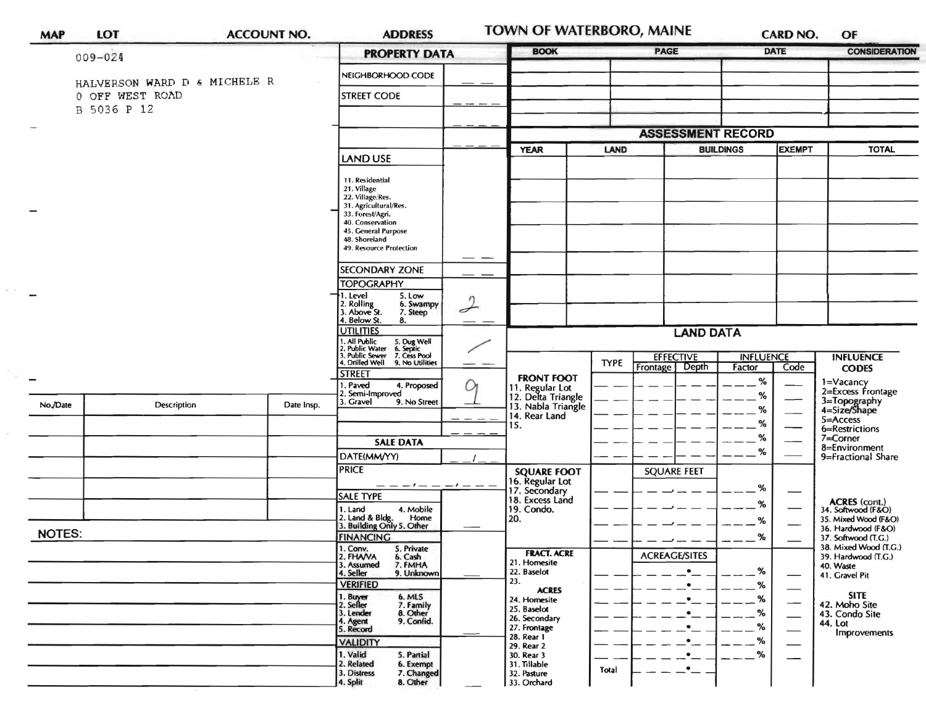| <b>MAP</b>    | LOT                          | <b>ACCOUNT NO.</b> | <b>ADDRESS</b>                                                                                                                        |                                                                              | <b>TOWN OF WATERBORO, MAINE</b>      | <b>CARD NO.</b>                  | OF                                           |  |
|---------------|------------------------------|--------------------|---------------------------------------------------------------------------------------------------------------------------------------|------------------------------------------------------------------------------|--------------------------------------|----------------------------------|----------------------------------------------|--|
|               | 009-024                      |                    | <b>PROPERTY DATA</b>                                                                                                                  | <b>BOOK</b>                                                                  | <b>PAGE</b>                          | <b>DATE</b>                      | <b>CONSIDERATION</b>                         |  |
|               | HALVERSON WARD D & MICHELE R |                    | NEIGHBORHOOD CODE                                                                                                                     |                                                                              |                                      |                                  |                                              |  |
|               | 0 OFF WEST ROAD              |                    | <b>STREET CODE</b>                                                                                                                    |                                                                              |                                      |                                  |                                              |  |
|               | B 5036 P 12                  |                    |                                                                                                                                       |                                                                              |                                      |                                  |                                              |  |
|               |                              |                    |                                                                                                                                       |                                                                              | <b>ASSESSMENT RECORD</b>             |                                  |                                              |  |
|               |                              |                    | LAND USE                                                                                                                              | <b>YEAR</b>                                                                  | <b>BUILDINGS</b><br>LAND             | <b>EXEMPT</b>                    | <b>TOTAL</b>                                 |  |
|               |                              |                    | 11. Residential                                                                                                                       |                                                                              |                                      |                                  |                                              |  |
|               |                              |                    | 21. Village<br>22. Village/Res.                                                                                                       |                                                                              |                                      |                                  |                                              |  |
|               |                              |                    | 31. Agricultural/Res.<br>33. Forest/Agri.                                                                                             |                                                                              |                                      |                                  |                                              |  |
|               |                              |                    | 40. Conservation<br>45. General Purpose<br>48. Shoreland                                                                              |                                                                              |                                      |                                  |                                              |  |
|               |                              |                    | 49. Resource Protection<br>——                                                                                                         |                                                                              |                                      |                                  |                                              |  |
|               |                              |                    | <b>SECONDARY ZONE</b>                                                                                                                 |                                                                              |                                      |                                  |                                              |  |
|               |                              |                    | <b>TOPOGRAPHY</b><br>1. Level<br>5. Low                                                                                               |                                                                              |                                      |                                  |                                              |  |
|               |                              |                    | $\eta$<br>2. Rolling<br>3. Above St.<br>6. Swampy<br>$\rightarrow$<br>7. Steep                                                        |                                                                              |                                      |                                  |                                              |  |
|               |                              |                    | 4. Below St.<br>8.<br><b>UTILITIES</b>                                                                                                |                                                                              | <b>LAND DATA</b>                     |                                  |                                              |  |
|               |                              |                    | 1. All Public<br>2. Public Water<br>3. Public Sewer<br>4. Drilled Well<br>5. Dug Well<br>6. Septic<br>7. Cess Pool<br>9. No Utilities |                                                                              | <b>EFFECTIVE</b><br><b>INFLUENCE</b> |                                  |                                              |  |
|               |                              |                    | <b>STREET</b>                                                                                                                         |                                                                              | <b>TYPE</b><br>Depth<br>Frontage     | Factor<br>Code                   | <b>INFLUENCE</b><br><b>CODES</b>             |  |
|               |                              |                    | . Paved<br>4. Proposed<br>Q<br>2. Semi-Improved                                                                                       | <b>FRONT FOOT</b>                                                            |                                      | %<br>%                           | 1=Vacancy<br>2=Excess Frontage               |  |
| No./Date      | Description                  | Date Insp.         | 3. Gravel<br>9. No Street                                                                                                             | 11. Regular Lot<br>12. Delta Triangle<br>13. Nabla Triangle<br>14. Rear Land |                                      | %                                | 3=Topography<br>4=Size/Shape                 |  |
|               |                              |                    |                                                                                                                                       | 15.                                                                          |                                      | %                                | 5=Access<br>6=Restrictions                   |  |
|               |                              |                    | <b>SALE DATA</b>                                                                                                                      |                                                                              |                                      | %<br>%                           | 7=Corner<br>8=Environment                    |  |
|               |                              |                    | DATE(MM/YY)<br><b>PRICE</b>                                                                                                           | <b>SQUARE FOOT</b>                                                           | <b>SQUARE FEET</b>                   |                                  | 9=Fractional Share                           |  |
|               |                              |                    |                                                                                                                                       | 16. Regular Lot<br>17. Secondary                                             |                                      | %                                |                                              |  |
|               |                              |                    | <b>SALE TYPE</b><br>4. Mobile<br>1. Land                                                                                              | 18. Excess Land<br>19. Condo.                                                |                                      | %                                | ACRES (cont.)<br>34. Softwood (F&O)          |  |
|               |                              |                    | 2. Land & Bldg. Home<br>3. Building Only 5. Other<br>Home                                                                             | 20.                                                                          |                                      | %                                | 35. Mixed Wood (F&O)<br>36. Hardwood (F&O)   |  |
| <b>NOTES:</b> |                              |                    | <b>FINANCING</b><br>1. Conv.<br>5. Private                                                                                            |                                                                              |                                      | %                                | 37. Softwood (T.G.)<br>38. Mixed Wood (T.G.) |  |
|               |                              |                    | 2. FHAVA<br>3. Assumed<br>6. Cash<br>7. FMHA                                                                                          | <b>FRACT. ACRE</b><br>21. Homesite                                           | <b>ACREAGE/SITES</b>                 | %                                | 39. Hardwood (T.G.)<br>40. Waste             |  |
|               |                              |                    | 4. Seller<br>9. Unknown<br><b>VERIFIED</b>                                                                                            | 22. Baselot<br>23.<br><b>ACRES</b>                                           |                                      | $\overbrace{\hspace{15em}}$<br>% | 41. Gravel Pit                               |  |
|               |                              |                    | 6. MLS<br>7. Family<br>1. Buyer<br>2. Seller                                                                                          | 24. Homesite<br>25. Baselot                                                  | ٠                                    | %<br>$\overline{\phantom{a}}$    | <b>SITE</b><br>42. Moho Site                 |  |
|               |                              |                    | 3. Lender<br>8. Other<br>9. Confid.<br>4. Agent<br>5. Record                                                                          | 26. Secondary<br>27. Frontage                                                | $\bullet$<br>$\bullet$               | %<br>%                           | 43. Condo Site<br>44. Lot                    |  |
|               |                              |                    | <b>VALIDITY</b>                                                                                                                       | 28. Rear 1<br>29. Rear 2                                                     | $\bullet$                            | $\qquad \qquad$<br>%             | Improvements                                 |  |
|               |                              |                    | 1. Valid<br>5. Partial<br>2. Related<br>6. Exempt                                                                                     | 30. Rear 3<br>31. Tillable                                                   | $\bullet$<br>$\bullet$               | %                                |                                              |  |
|               |                              |                    | 3. Distress<br>7. Changed                                                                                                             | 32. Pasture                                                                  | Total                                |                                  |                                              |  |